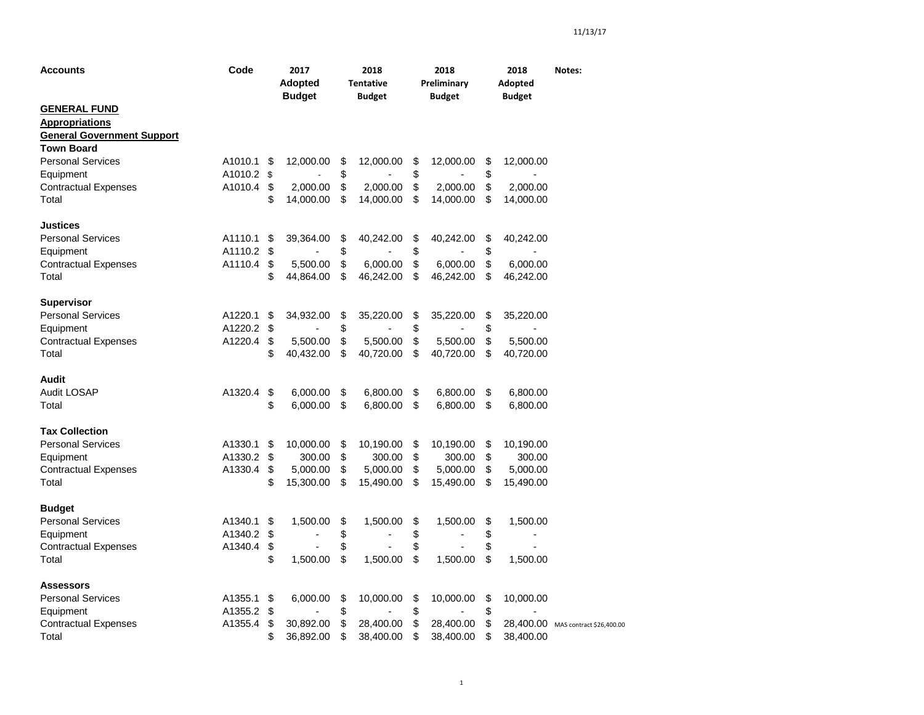| <b>Accounts</b>                                                                   | Code    | 2017<br><b>Adopted</b><br><b>Budget</b> | 2018<br><b>Tentative</b><br><b>Budget</b> | 2018<br>Preliminary<br><b>Budget</b> | 2018<br>Adopted<br><b>Budget</b> | Notes:                             |
|-----------------------------------------------------------------------------------|---------|-----------------------------------------|-------------------------------------------|--------------------------------------|----------------------------------|------------------------------------|
| <b>GENERAL FUND</b><br><b>Appropriations</b><br><b>General Government Support</b> |         |                                         |                                           |                                      |                                  |                                    |
| <b>Town Board</b>                                                                 |         |                                         |                                           |                                      |                                  |                                    |
| <b>Personal Services</b>                                                          | A1010.1 | \$<br>12,000.00                         | \$<br>12,000.00                           | \$<br>12,000.00                      | \$<br>12,000.00                  |                                    |
| Equipment                                                                         | A1010.2 | \$                                      | \$                                        | \$                                   | \$                               |                                    |
| <b>Contractual Expenses</b>                                                       | A1010.4 | \$<br>2,000.00                          | \$<br>2,000.00                            | \$<br>2,000.00                       | \$<br>2,000.00                   |                                    |
| Total                                                                             |         | \$<br>14,000.00                         | \$<br>14,000.00                           | \$<br>14,000.00                      | \$<br>14,000.00                  |                                    |
| Justices                                                                          |         |                                         |                                           |                                      |                                  |                                    |
| <b>Personal Services</b>                                                          | A1110.1 | \$<br>39,364.00                         | \$<br>40,242.00                           | \$<br>40,242.00                      | \$<br>40,242.00                  |                                    |
| Equipment                                                                         | A1110.2 | \$                                      | \$                                        | \$                                   | \$                               |                                    |
| <b>Contractual Expenses</b>                                                       | A1110.4 | \$<br>5,500.00                          | \$<br>6,000.00                            | \$<br>6,000.00                       | \$<br>6,000.00                   |                                    |
| Total                                                                             |         | \$<br>44,864.00                         | \$<br>46,242.00                           | \$<br>46,242.00                      | \$<br>46,242.00                  |                                    |
| <b>Supervisor</b>                                                                 |         |                                         |                                           |                                      |                                  |                                    |
| <b>Personal Services</b>                                                          | A1220.1 | \$<br>34,932.00                         | \$<br>35,220.00                           | \$<br>35,220.00                      | \$<br>35,220.00                  |                                    |
| Equipment                                                                         | A1220.2 | \$                                      | \$                                        | \$                                   | \$                               |                                    |
| <b>Contractual Expenses</b>                                                       | A1220.4 | \$<br>5,500.00                          | \$<br>5,500.00                            | \$<br>5,500.00                       | \$<br>5,500.00                   |                                    |
| Total                                                                             |         | \$<br>40,432.00                         | \$<br>40,720.00                           | \$<br>40,720.00                      | \$<br>40,720.00                  |                                    |
| Audit                                                                             |         |                                         |                                           |                                      |                                  |                                    |
| <b>Audit LOSAP</b>                                                                | A1320.4 | \$<br>6,000.00                          | \$<br>6,800.00                            | \$<br>6,800.00                       | \$<br>6,800.00                   |                                    |
| Total                                                                             |         | \$<br>6,000.00                          | \$<br>6,800.00                            | \$<br>6,800.00                       | \$<br>6,800.00                   |                                    |
| <b>Tax Collection</b>                                                             |         |                                         |                                           |                                      |                                  |                                    |
| <b>Personal Services</b>                                                          | A1330.1 | \$<br>10,000.00                         | \$<br>10,190.00                           | \$<br>10,190.00                      | \$<br>10,190.00                  |                                    |
| Equipment                                                                         | A1330.2 | \$<br>300.00                            | \$<br>300.00                              | \$<br>300.00                         | \$<br>300.00                     |                                    |
| <b>Contractual Expenses</b>                                                       | A1330.4 | \$<br>5,000.00                          | \$<br>5,000.00                            | \$<br>5,000.00                       | \$<br>5,000.00                   |                                    |
| Total                                                                             |         | \$<br>15,300.00                         | \$<br>15,490.00                           | \$<br>15,490.00                      | \$<br>15,490.00                  |                                    |
| <b>Budget</b>                                                                     |         |                                         |                                           |                                      |                                  |                                    |
| <b>Personal Services</b>                                                          | A1340.1 | \$<br>1,500.00                          | \$<br>1,500.00                            | \$<br>1,500.00                       | \$<br>1,500.00                   |                                    |
| Equipment                                                                         | A1340.2 | \$                                      | \$                                        | \$                                   | \$                               |                                    |
| <b>Contractual Expenses</b>                                                       | A1340.4 | \$                                      | \$                                        | \$                                   | \$                               |                                    |
| Total                                                                             |         | \$<br>1,500.00                          | \$<br>1,500.00                            | \$<br>1,500.00                       | \$<br>1,500.00                   |                                    |
| <b>Assessors</b>                                                                  |         |                                         |                                           |                                      |                                  |                                    |
| <b>Personal Services</b>                                                          | A1355.1 | \$<br>6,000.00                          | \$<br>10,000.00                           | \$<br>10,000.00                      | \$<br>10,000.00                  |                                    |
| Equipment                                                                         | A1355.2 | \$                                      | \$                                        | \$                                   | \$                               |                                    |
| <b>Contractual Expenses</b>                                                       | A1355.4 | \$<br>30,892.00                         | \$<br>28,400.00                           | \$<br>28,400.00                      | \$                               | 28,400.00 MAS contract \$26,400.00 |
| Total                                                                             |         | \$<br>36,892.00                         | \$<br>38,400.00                           | \$<br>38,400.00                      | \$<br>38,400.00                  |                                    |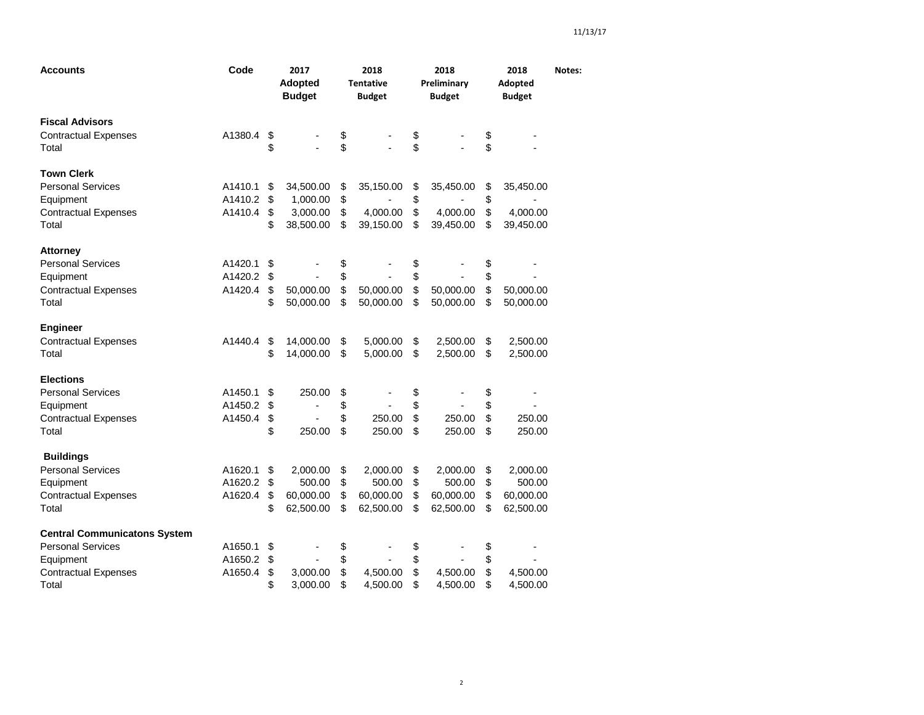| Accounts                                                                                                             | Code                          |                      | 2017<br><b>Adopted</b><br><b>Budget</b>        |                      | 2018<br><b>Tentative</b><br><b>Budget</b>    |                                  | 2018<br>Preliminary<br><b>Budget</b>         |                      | 2018<br>Adopted<br><b>Budget</b>             | Notes: |
|----------------------------------------------------------------------------------------------------------------------|-------------------------------|----------------------|------------------------------------------------|----------------------|----------------------------------------------|----------------------------------|----------------------------------------------|----------------------|----------------------------------------------|--------|
| <b>Fiscal Advisors</b><br><b>Contractual Expenses</b><br>Total                                                       | A1380.4                       | \$<br>\$             |                                                | \$<br>\$             |                                              | \$<br>\$                         |                                              | \$<br>\$             |                                              |        |
| <b>Town Clerk</b><br><b>Personal Services</b><br>Equipment<br><b>Contractual Expenses</b><br>Total                   | A1410.1<br>A1410.2<br>A1410.4 | \$<br>\$<br>\$<br>\$ | 34,500.00<br>1,000.00<br>3,000.00<br>38,500.00 | \$<br>\$<br>\$<br>\$ | 35,150.00<br>4,000.00<br>39,150.00           | \$<br>\$<br>$\mathfrak{S}$<br>\$ | 35,450.00<br>4,000.00<br>39,450.00           | \$<br>\$<br>\$<br>\$ | 35,450.00<br>4,000.00<br>39,450.00           |        |
| <b>Attorney</b><br><b>Personal Services</b><br>Equipment<br><b>Contractual Expenses</b><br>Total                     | A1420.1<br>A1420.2<br>A1420.4 | \$<br>\$<br>\$<br>\$ | 50,000.00<br>50,000.00                         | \$<br>\$<br>\$<br>\$ | 50,000.00<br>50,000.00                       | \$<br>\$<br>\$<br>\$             | 50,000.00<br>50,000.00                       | \$<br>\$<br>\$<br>\$ | 50,000.00<br>50,000.00                       |        |
| <b>Engineer</b><br><b>Contractual Expenses</b><br>Total                                                              | A1440.4                       | \$<br>\$             | 14,000.00<br>14,000.00                         | \$<br>\$             | 5,000.00<br>5,000.00                         | \$<br>\$                         | 2,500.00<br>2,500.00                         | \$<br>\$             | 2,500.00<br>2,500.00                         |        |
| <b>Elections</b><br><b>Personal Services</b><br>Equipment<br><b>Contractual Expenses</b><br>Total                    | A1450.1<br>A1450.2<br>A1450.4 | \$<br>\$<br>\$<br>\$ | 250.00<br>$\blacksquare$<br>250.00             | \$<br>\$<br>\$<br>\$ | 250.00<br>250.00                             | \$<br>\$<br>\$<br>\$             | 250.00<br>250.00                             | \$<br>\$<br>\$<br>\$ | 250.00<br>250.00                             |        |
| <b>Buildings</b><br><b>Personal Services</b><br>Equipment<br><b>Contractual Expenses</b><br>Total                    | A1620.1<br>A1620.2<br>A1620.4 | \$<br>\$<br>\$<br>\$ | 2,000.00<br>500.00<br>60,000.00<br>62,500.00   | \$<br>\$<br>\$<br>\$ | 2,000.00<br>500.00<br>60,000.00<br>62,500.00 | \$<br>\$<br>\$<br>\$             | 2,000.00<br>500.00<br>60,000.00<br>62,500.00 | \$<br>\$<br>\$<br>\$ | 2,000.00<br>500.00<br>60,000.00<br>62,500.00 |        |
| <b>Central Communicatons System</b><br><b>Personal Services</b><br>Equipment<br><b>Contractual Expenses</b><br>Total | A1650.1<br>A1650.2<br>A1650.4 | \$<br>\$<br>\$<br>\$ | 3,000.00<br>3,000.00                           | \$<br>\$<br>\$<br>\$ | 4,500.00<br>4,500.00                         | \$<br>\$<br>\$<br>\$             | 4,500.00<br>4,500.00                         | \$<br>\$<br>\$<br>\$ | 4,500.00<br>4,500.00                         |        |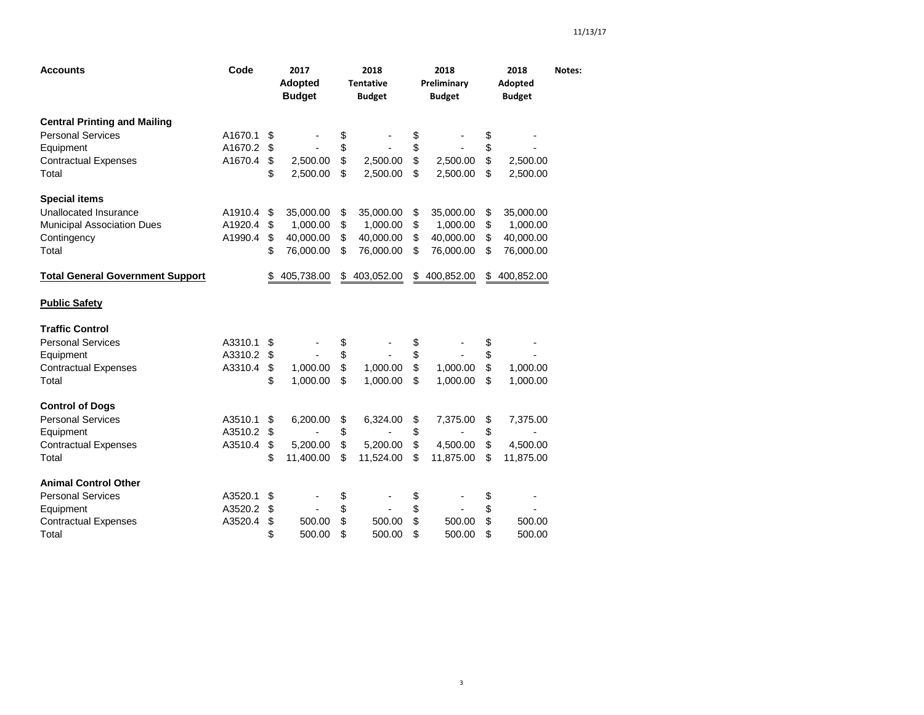| <b>Accounts</b>                         | Code    |    | 2017<br><b>Adopted</b><br><b>Budget</b> | 2018<br><b>Tentative</b><br><b>Budget</b> | 2018<br>Preliminary<br><b>Budget</b> | 2018<br>Adopted<br><b>Budget</b> | Notes: |
|-----------------------------------------|---------|----|-----------------------------------------|-------------------------------------------|--------------------------------------|----------------------------------|--------|
| <b>Central Printing and Mailing</b>     |         |    |                                         |                                           |                                      |                                  |        |
| <b>Personal Services</b>                | A1670.1 | \$ |                                         | \$                                        | \$                                   | \$                               |        |
| Equipment                               | A1670.2 | \$ |                                         | \$                                        | \$                                   | \$                               |        |
| <b>Contractual Expenses</b>             | A1670.4 | \$ | 2,500.00                                | \$<br>2,500.00                            | \$<br>2,500.00                       | \$<br>2,500.00                   |        |
| Total                                   |         | \$ | 2,500.00                                | \$<br>2,500.00                            | \$<br>2,500.00                       | \$<br>2,500.00                   |        |
| <b>Special items</b>                    |         |    |                                         |                                           |                                      |                                  |        |
| Unallocated Insurance                   | A1910.4 | \$ | 35,000.00                               | \$<br>35,000.00                           | \$<br>35,000.00                      | \$<br>35,000.00                  |        |
| Municipal Association Dues              | A1920.4 | \$ | 1,000.00                                | \$<br>1,000.00                            | \$<br>1,000.00                       | \$<br>1,000.00                   |        |
| Contingency                             | A1990.4 | \$ | 40,000.00                               | \$<br>40,000.00                           | \$<br>40,000.00                      | \$<br>40,000.00                  |        |
| Total                                   |         | \$ | 76,000.00                               | \$<br>76,000.00                           | \$<br>76,000.00                      | \$<br>76,000.00                  |        |
| <b>Total General Government Support</b> |         | S  | 405,738.00                              | \$<br>403,052.00                          | \$<br>400,852.00                     | \$<br>400,852.00                 |        |
| <b>Public Safety</b>                    |         |    |                                         |                                           |                                      |                                  |        |
| <b>Traffic Control</b>                  |         |    |                                         |                                           |                                      |                                  |        |
| <b>Personal Services</b>                | A3310.1 | \$ |                                         | \$                                        | \$                                   | \$                               |        |
| Equipment                               | A3310.2 | \$ |                                         | \$                                        | \$                                   | \$                               |        |
| <b>Contractual Expenses</b>             | A3310.4 | \$ | 1.000.00                                | \$<br>1.000.00                            | \$<br>1.000.00                       | \$<br>1,000.00                   |        |
| Total                                   |         | \$ | 1,000.00                                | \$<br>1,000.00                            | \$<br>1,000.00                       | \$<br>1,000.00                   |        |
| <b>Control of Dogs</b>                  |         |    |                                         |                                           |                                      |                                  |        |
| <b>Personal Services</b>                | A3510.1 | \$ | 6,200.00                                | \$<br>6,324.00                            | \$<br>7,375.00                       | \$<br>7,375.00                   |        |
| Equipment                               | A3510.2 | \$ |                                         | \$                                        | \$                                   | \$                               |        |
| <b>Contractual Expenses</b>             | A3510.4 | \$ | 5,200.00                                | \$<br>5,200.00                            | \$<br>4,500.00                       | \$<br>4,500.00                   |        |
| Total                                   |         | \$ | 11,400.00                               | \$<br>11,524.00                           | \$<br>11,875.00                      | \$<br>11,875.00                  |        |
| <b>Animal Control Other</b>             |         |    |                                         |                                           |                                      |                                  |        |
| <b>Personal Services</b>                | A3520.1 | \$ |                                         | \$                                        | \$                                   | \$                               |        |
| Equipment                               | A3520.2 | \$ | $\overline{\phantom{a}}$                | \$<br>$\overline{\phantom{a}}$            | \$<br>÷,                             | \$                               |        |
| <b>Contractual Expenses</b>             | A3520.4 | \$ | 500.00                                  | \$<br>500.00                              | \$<br>500.00                         | \$<br>500.00                     |        |
| Total                                   |         | \$ | 500.00                                  | \$<br>500.00                              | \$<br>500.00                         | \$<br>500.00                     |        |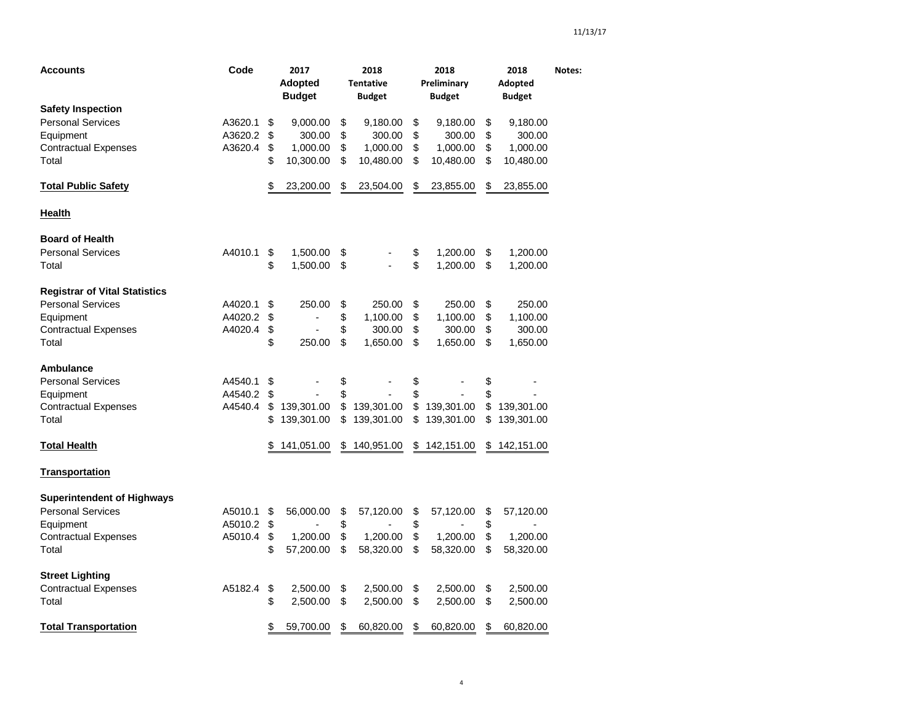| <b>Accounts</b>                      | Code    | 2017<br><b>Adopted</b><br><b>Budget</b> | 2018<br><b>Tentative</b><br><b>Budget</b> | 2018<br>Preliminary<br><b>Budget</b> | 2018<br>Adopted<br><b>Budget</b> | Notes: |
|--------------------------------------|---------|-----------------------------------------|-------------------------------------------|--------------------------------------|----------------------------------|--------|
| <b>Safety Inspection</b>             |         |                                         |                                           |                                      |                                  |        |
| <b>Personal Services</b>             | A3620.1 | \$<br>9,000.00                          | \$<br>9,180.00                            | \$<br>9,180.00                       | \$<br>9,180.00                   |        |
| Equipment                            | A3620.2 | \$<br>300.00                            | \$<br>300.00                              | \$<br>300.00                         | \$<br>300.00                     |        |
| <b>Contractual Expenses</b>          | A3620.4 | \$<br>1,000.00                          | \$<br>1,000.00                            | \$<br>1,000.00                       | \$<br>1,000.00                   |        |
| Total                                |         | \$<br>10,300.00                         | \$<br>10,480.00                           | \$<br>10,480.00                      | \$<br>10,480.00                  |        |
| <b>Total Public Safety</b>           |         | \$<br>23,200.00                         | \$<br>23,504.00                           | \$<br>23,855.00                      | \$<br>23,855.00                  |        |
| Health                               |         |                                         |                                           |                                      |                                  |        |
| <b>Board of Health</b>               |         |                                         |                                           |                                      |                                  |        |
| <b>Personal Services</b>             | A4010.1 | \$<br>1,500.00                          | \$                                        | \$<br>1,200.00                       | \$<br>1,200.00                   |        |
| Total                                |         | \$<br>1,500.00                          | \$                                        | \$<br>1,200.00                       | \$<br>1,200.00                   |        |
| <b>Registrar of Vital Statistics</b> |         |                                         |                                           |                                      |                                  |        |
| <b>Personal Services</b>             | A4020.1 | \$<br>250.00                            | \$<br>250.00                              | \$<br>250.00                         | \$<br>250.00                     |        |
| Equipment                            | A4020.2 | \$<br>$\overline{\phantom{0}}$          | \$<br>1,100.00                            | \$<br>1,100.00                       | \$<br>1,100.00                   |        |
| <b>Contractual Expenses</b>          | A4020.4 | \$                                      | \$<br>300.00                              | \$<br>300.00                         | \$<br>300.00                     |        |
| Total                                |         | \$<br>250.00                            | \$<br>1,650.00                            | \$<br>1,650.00                       | \$<br>1,650.00                   |        |
| <b>Ambulance</b>                     |         |                                         |                                           |                                      |                                  |        |
| <b>Personal Services</b>             | A4540.1 | \$                                      | \$                                        | \$                                   | \$                               |        |
| Equipment                            | A4540.2 | \$                                      | \$                                        | \$                                   | \$                               |        |
| <b>Contractual Expenses</b>          | A4540.4 | \$<br>139,301.00                        | \$<br>139,301.00                          | \$<br>139,301.00                     | \$<br>139,301.00                 |        |
| Total                                |         | \$<br>139,301.00                        | \$<br>139,301.00                          | \$<br>139,301.00                     | \$<br>139,301.00                 |        |
| <b>Total Health</b>                  |         | 141,051.00                              | \$<br>140,951.00                          | \$<br>142,151.00                     | \$<br>142,151.00                 |        |
| <b>Transportation</b>                |         |                                         |                                           |                                      |                                  |        |
| <b>Superintendent of Highways</b>    |         |                                         |                                           |                                      |                                  |        |
| <b>Personal Services</b>             | A5010.1 | \$<br>56,000.00                         | \$<br>57,120.00                           | \$<br>57,120.00                      | \$<br>57,120.00                  |        |
| Equipment                            | A5010.2 | \$                                      | \$                                        | \$                                   | \$                               |        |
| <b>Contractual Expenses</b>          | A5010.4 | \$<br>1,200.00                          | \$<br>1,200.00                            | \$<br>1,200.00                       | \$<br>1,200.00                   |        |
| Total                                |         | \$<br>57,200.00                         | \$<br>58,320.00                           | \$<br>58,320.00                      | \$<br>58,320.00                  |        |
| <b>Street Lighting</b>               |         |                                         |                                           |                                      |                                  |        |
| <b>Contractual Expenses</b>          | A5182.4 | \$<br>2,500.00                          | \$<br>2,500.00                            | \$<br>2,500.00                       | \$<br>2,500.00                   |        |
| Total                                |         | \$<br>2,500.00                          | \$<br>2,500.00                            | \$<br>2,500.00                       | \$<br>2,500.00                   |        |
| <b>Total Transportation</b>          |         | \$<br>59,700.00                         | \$<br>60,820.00                           | \$<br>60,820.00                      | \$<br>60,820.00                  |        |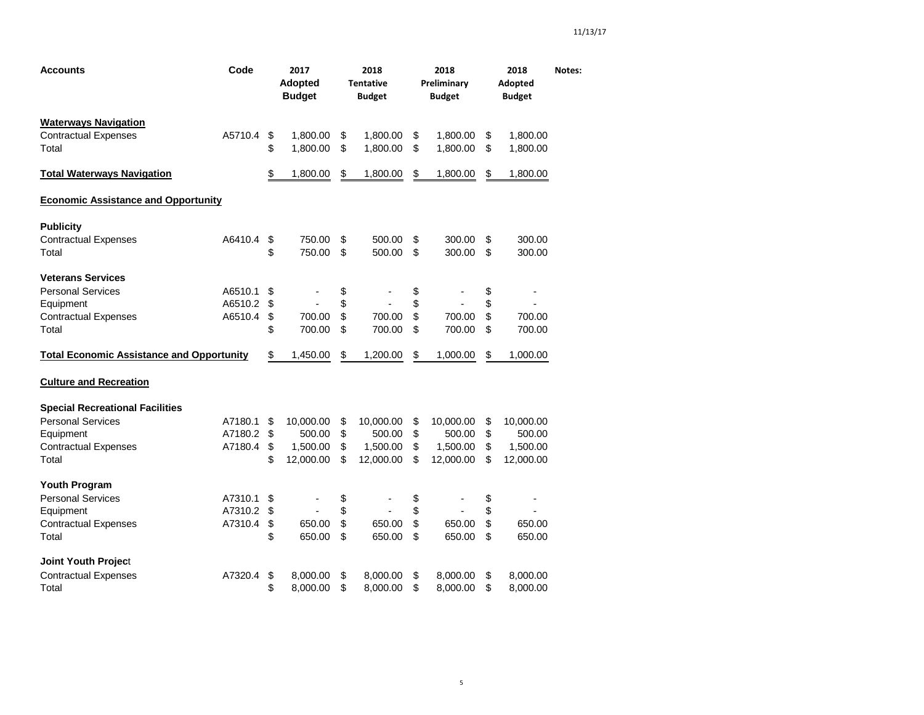| <b>Accounts</b>                                  | Code    | 2017<br><b>Adopted</b><br><b>Budget</b> | 2018<br><b>Tentative</b><br><b>Budget</b> | 2018<br>Preliminary<br><b>Budget</b> | 2018<br>Adopted<br><b>Budget</b> | Notes: |
|--------------------------------------------------|---------|-----------------------------------------|-------------------------------------------|--------------------------------------|----------------------------------|--------|
| <b>Waterways Navigation</b>                      |         |                                         |                                           |                                      |                                  |        |
| <b>Contractual Expenses</b>                      | A5710.4 | \$<br>1,800.00                          | \$<br>1,800.00                            | \$<br>1,800.00                       | \$<br>1,800.00                   |        |
| Total                                            |         | \$<br>1,800.00                          | \$<br>1,800.00                            | \$<br>1,800.00                       | \$<br>1,800.00                   |        |
| <b>Total Waterways Navigation</b>                |         | \$<br>1,800.00                          | \$<br>1,800.00                            | \$<br>1,800.00                       | \$<br>1,800.00                   |        |
| <b>Economic Assistance and Opportunity</b>       |         |                                         |                                           |                                      |                                  |        |
| <b>Publicity</b>                                 |         |                                         |                                           |                                      |                                  |        |
| <b>Contractual Expenses</b>                      | A6410.4 | \$<br>750.00                            | \$<br>500.00                              | \$<br>300.00                         | \$<br>300.00                     |        |
| Total                                            |         | \$<br>750.00                            | \$<br>500.00                              | \$<br>300.00                         | \$<br>300.00                     |        |
| <b>Veterans Services</b>                         |         |                                         |                                           |                                      |                                  |        |
| <b>Personal Services</b>                         | A6510.1 | \$                                      | \$                                        | \$                                   | \$                               |        |
| Equipment                                        | A6510.2 | \$                                      | \$                                        | \$                                   | \$                               |        |
| <b>Contractual Expenses</b>                      | A6510.4 | \$<br>700.00                            | \$<br>700.00                              | \$<br>700.00                         | \$<br>700.00                     |        |
| Total                                            |         | \$<br>700.00                            | \$<br>700.00                              | \$<br>700.00                         | \$<br>700.00                     |        |
| <b>Total Economic Assistance and Opportunity</b> |         | \$<br>1,450.00                          | \$<br>1,200.00                            | \$<br>1,000.00                       | \$<br>1,000.00                   |        |
| <b>Culture and Recreation</b>                    |         |                                         |                                           |                                      |                                  |        |
| <b>Special Recreational Facilities</b>           |         |                                         |                                           |                                      |                                  |        |
| <b>Personal Services</b>                         | A7180.1 | \$<br>10,000.00                         | \$<br>10,000.00                           | \$<br>10,000.00                      | \$<br>10,000.00                  |        |
| Equipment                                        | A7180.2 | \$<br>500.00                            | \$<br>500.00                              | \$<br>500.00                         | \$<br>500.00                     |        |
| <b>Contractual Expenses</b>                      | A7180.4 | \$<br>1,500.00                          | \$<br>1,500.00                            | \$<br>1,500.00                       | \$<br>1,500.00                   |        |
| Total                                            |         | \$<br>12,000.00                         | \$<br>12,000.00                           | \$<br>12,000.00                      | \$<br>12,000.00                  |        |
| <b>Youth Program</b>                             |         |                                         |                                           |                                      |                                  |        |
| <b>Personal Services</b>                         | A7310.1 | \$<br>-                                 | \$<br>۰                                   | \$                                   | \$                               |        |
| Equipment                                        | A7310.2 | \$                                      | \$                                        | \$                                   | \$                               |        |
| <b>Contractual Expenses</b>                      | A7310.4 | \$<br>650.00                            | \$<br>650.00                              | \$<br>650.00                         | \$<br>650.00                     |        |
| Total                                            |         | \$<br>650.00                            | \$<br>650.00                              | \$<br>650.00                         | \$<br>650.00                     |        |
| Joint Youth Project                              |         |                                         |                                           |                                      |                                  |        |
| <b>Contractual Expenses</b>                      | A7320.4 | \$<br>8,000.00                          | \$<br>8,000.00                            | \$<br>8,000.00                       | \$<br>8,000.00                   |        |
| Total                                            |         | \$<br>8,000.00                          | \$<br>8,000.00                            | \$<br>8,000.00                       | \$<br>8,000.00                   |        |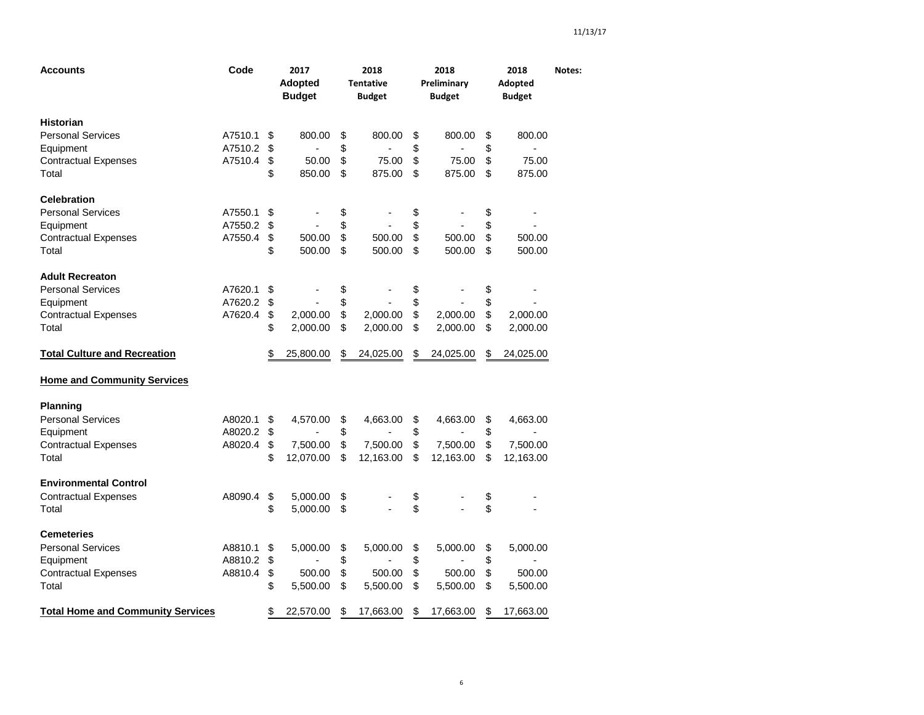| Accounts                                 | Code    | 2017<br><b>Adopted</b><br><b>Budget</b> | 2018<br><b>Tentative</b><br><b>Budget</b> | 2018<br>Preliminary<br><b>Budget</b> | 2018<br>Adopted<br><b>Budget</b> | Notes: |
|------------------------------------------|---------|-----------------------------------------|-------------------------------------------|--------------------------------------|----------------------------------|--------|
| Historian                                |         |                                         |                                           |                                      |                                  |        |
| <b>Personal Services</b>                 | A7510.1 | \$<br>800.00                            | \$<br>800.00                              | \$<br>800.00                         | \$<br>800.00                     |        |
| Equipment                                | A7510.2 | \$                                      | \$                                        | \$                                   | \$                               |        |
| <b>Contractual Expenses</b>              | A7510.4 | \$<br>50.00                             | \$<br>75.00                               | \$<br>75.00                          | \$<br>75.00                      |        |
| Total                                    |         | \$<br>850.00                            | \$<br>875.00                              | \$<br>875.00                         | \$<br>875.00                     |        |
| <b>Celebration</b>                       |         |                                         |                                           |                                      |                                  |        |
| <b>Personal Services</b>                 | A7550.1 | \$                                      | \$                                        | \$                                   | \$                               |        |
| Equipment                                | A7550.2 | \$                                      | \$                                        | \$                                   | \$                               |        |
| <b>Contractual Expenses</b>              | A7550.4 | \$<br>500.00                            | \$<br>500.00                              | \$<br>500.00                         | \$<br>500.00                     |        |
| Total                                    |         | \$<br>500.00                            | \$<br>500.00                              | \$<br>500.00                         | \$<br>500.00                     |        |
| <b>Adult Recreaton</b>                   |         |                                         |                                           |                                      |                                  |        |
| <b>Personal Services</b>                 | A7620.1 | \$                                      | \$                                        | \$                                   | \$                               |        |
| Equipment                                | A7620.2 | \$                                      | \$                                        | \$                                   | \$                               |        |
| <b>Contractual Expenses</b>              | A7620.4 | \$<br>2,000.00                          | \$<br>2,000.00                            | \$<br>2,000.00                       | \$<br>2,000.00                   |        |
| Total                                    |         | \$<br>2,000.00                          | \$<br>2,000.00                            | \$<br>2,000.00                       | \$<br>2,000.00                   |        |
| <b>Total Culture and Recreation</b>      |         | \$<br>25,800.00                         | \$<br>24,025.00                           | \$<br>24,025.00                      | \$<br>24,025.00                  |        |
| <b>Home and Community Services</b>       |         |                                         |                                           |                                      |                                  |        |
| Planning                                 |         |                                         |                                           |                                      |                                  |        |
| <b>Personal Services</b>                 | A8020.1 | \$<br>4,570.00                          | \$<br>4,663.00                            | \$<br>4,663.00                       | \$<br>4,663.00                   |        |
| Equipment                                | A8020.2 | \$                                      | \$                                        | \$                                   | \$                               |        |
| <b>Contractual Expenses</b>              | A8020.4 | \$<br>7,500.00                          | \$<br>7,500.00                            | \$<br>7,500.00                       | \$<br>7,500.00                   |        |
| Total                                    |         | \$<br>12,070.00                         | \$<br>12,163.00                           | \$<br>12,163.00                      | \$<br>12,163.00                  |        |
| <b>Environmental Control</b>             |         |                                         |                                           |                                      |                                  |        |
| <b>Contractual Expenses</b>              | A8090.4 | \$<br>5,000.00                          | \$                                        | \$                                   | \$                               |        |
| Total                                    |         | \$<br>5,000.00                          | \$                                        | \$                                   | \$                               |        |
| Cemeteries                               |         |                                         |                                           |                                      |                                  |        |
| <b>Personal Services</b>                 | A8810.1 | \$<br>5,000.00                          | \$<br>5,000.00                            | \$<br>5,000.00                       | \$<br>5,000.00                   |        |
| Equipment                                | A8810.2 | \$                                      | \$                                        | \$                                   | \$                               |        |
| <b>Contractual Expenses</b>              | A8810.4 | \$<br>500.00                            | \$<br>500.00                              | \$<br>500.00                         | \$<br>500.00                     |        |
| Total                                    |         | \$<br>5,500.00                          | \$<br>5,500.00                            | \$<br>5,500.00                       | \$<br>5,500.00                   |        |
| <b>Total Home and Community Services</b> |         | \$<br>22,570.00                         | \$<br>17,663.00                           | \$<br>17,663.00                      | \$<br>17,663.00                  |        |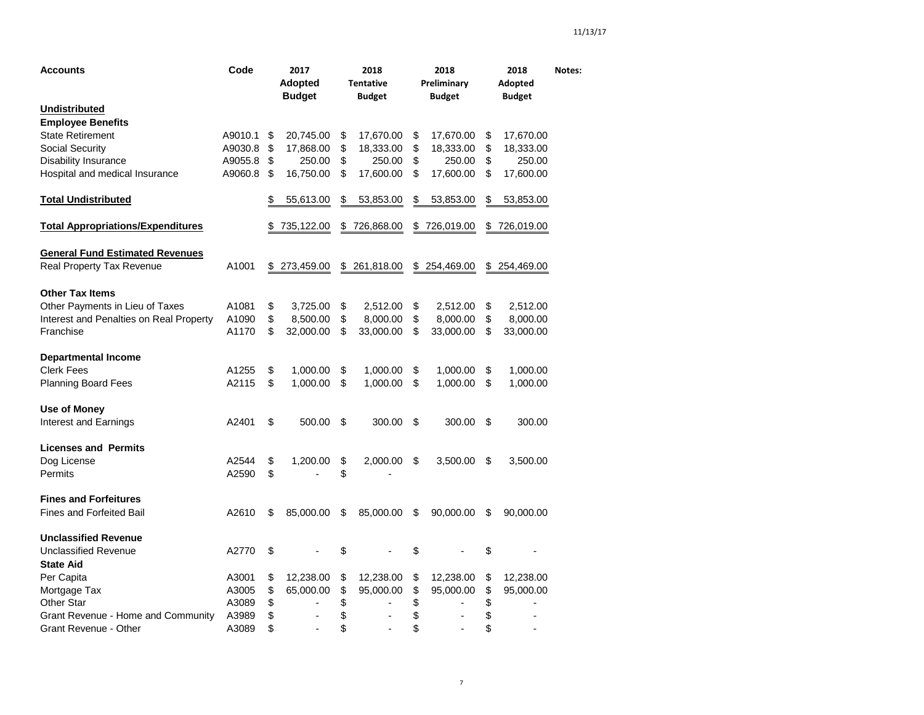| Accounts                                        | Code    | 2017<br><b>Adopted</b><br><b>Budget</b> | 2018<br><b>Tentative</b><br>Budget | 2018<br>Preliminary<br>Budget  | 2018<br>Adopted<br><b>Budget</b> | Notes: |
|-------------------------------------------------|---------|-----------------------------------------|------------------------------------|--------------------------------|----------------------------------|--------|
| <u>Undistributed</u>                            |         |                                         |                                    |                                |                                  |        |
| <b>Employee Benefits</b>                        |         |                                         |                                    |                                |                                  |        |
| <b>State Retirement</b>                         | A9010.1 | \$<br>20,745.00                         | \$<br>17,670.00                    | \$<br>17,670.00                | \$<br>17,670.00                  |        |
| <b>Social Security</b>                          | A9030.8 | \$<br>17,868.00                         | \$<br>18,333.00                    | \$<br>18,333.00                | \$<br>18,333.00                  |        |
| Disability Insurance                            | A9055.8 | \$<br>250.00                            | \$<br>250.00                       | \$<br>250.00                   | \$<br>250.00                     |        |
| Hospital and medical Insurance                  | A9060.8 | \$<br>16,750.00                         | \$<br>17,600.00                    | \$<br>17,600.00                | \$<br>17,600.00                  |        |
| <b>Total Undistributed</b>                      |         | \$<br>55,613.00                         | \$<br>53,853.00                    | \$<br>53,853.00                | \$<br>53,853.00                  |        |
| <b>Total Appropriations/Expenditures</b>        |         | \$<br>735,122.00                        | \$726,868.00                       | \$726,019.00                   | \$<br>726,019.00                 |        |
| <b>General Fund Estimated Revenues</b>          |         |                                         |                                    |                                |                                  |        |
| Real Property Tax Revenue                       | A1001   | \$<br>273,459.00                        | \$<br>261,818.00                   | \$<br>254,469.00               | \$<br>254,469.00                 |        |
| <b>Other Tax Items</b>                          |         |                                         |                                    |                                |                                  |        |
| Other Payments in Lieu of Taxes                 | A1081   | \$<br>3,725.00                          | \$<br>2,512.00                     | \$<br>2,512.00                 | \$<br>2,512.00                   |        |
| Interest and Penalties on Real Property         | A1090   | \$<br>8,500.00                          | \$<br>8,000.00                     | \$<br>8,000.00                 | \$<br>8,000.00                   |        |
| Franchise                                       | A1170   | \$<br>32,000.00                         | \$<br>33,000.00                    | \$<br>33,000.00                | \$<br>33,000.00                  |        |
| <b>Departmental Income</b>                      |         |                                         |                                    |                                |                                  |        |
| <b>Clerk Fees</b>                               | A1255   | \$<br>1,000.00                          | \$<br>1,000.00                     | \$<br>1,000.00                 | \$<br>1,000.00                   |        |
| <b>Planning Board Fees</b>                      | A2115   | \$<br>1,000.00                          | \$<br>1,000.00                     | \$<br>1,000.00                 | \$<br>1,000.00                   |        |
| <b>Use of Money</b>                             |         |                                         |                                    |                                |                                  |        |
| Interest and Earnings                           | A2401   | \$<br>500.00                            | \$<br>300.00                       | \$<br>300.00                   | \$<br>300.00                     |        |
| <b>Licenses and Permits</b>                     |         |                                         |                                    |                                |                                  |        |
| Dog License                                     | A2544   | \$<br>1,200.00                          | \$<br>2,000.00                     | \$<br>3,500.00                 | \$<br>3,500.00                   |        |
| Permits                                         | A2590   | \$                                      | \$                                 |                                |                                  |        |
| <b>Fines and Forfeitures</b>                    |         |                                         |                                    |                                |                                  |        |
| <b>Fines and Forfeited Bail</b>                 | A2610   | \$<br>85,000.00                         | \$<br>85,000.00                    | \$<br>90,000.00                | \$<br>90,000.00                  |        |
| <b>Unclassified Revenue</b>                     |         |                                         |                                    |                                |                                  |        |
| <b>Unclassified Revenue</b><br><b>State Aid</b> | A2770   | \$                                      | \$                                 | \$                             | \$                               |        |
| Per Capita                                      | A3001   | \$<br>12,238.00                         | \$<br>12,238.00                    | \$<br>12,238.00                | \$<br>12,238.00                  |        |
| Mortgage Tax                                    | A3005   | \$<br>65,000.00                         | \$<br>95,000.00                    | \$<br>95,000.00                | \$<br>95,000.00                  |        |
| Other Star                                      | A3089   | \$                                      | \$<br>$\blacksquare$               | \$<br>$\overline{\phantom{a}}$ | \$                               |        |
| Grant Revenue - Home and Community              | A3989   | \$                                      | \$                                 | \$                             | \$                               |        |
| Grant Revenue - Other                           | A3089   | \$<br>÷,                                | \$<br>÷,                           | \$<br>$\overline{\phantom{a}}$ | \$<br>÷,                         |        |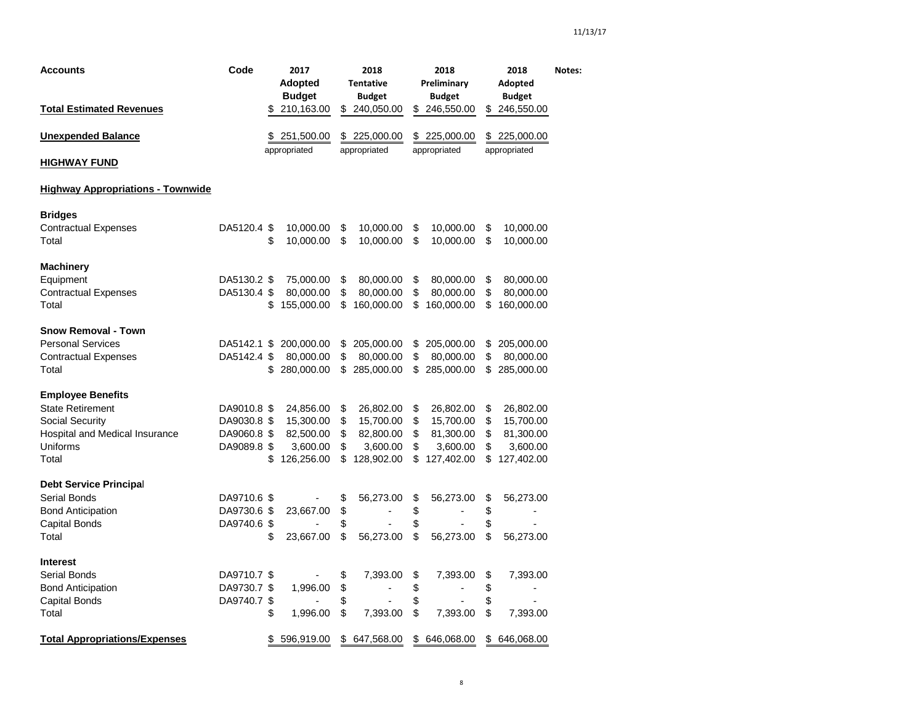| <b>Accounts</b><br><b>Total Estimated Revenues</b>                                                                            | Code                                                     | \$ | 2017<br><b>Adopted</b><br><b>Budget</b><br>210,163.00         |                      | 2018<br><b>Tentative</b><br><b>Budget</b><br>\$240,050.00       |                      | 2018<br>Preliminary<br><b>Budget</b><br>\$246,550.00            |                            | 2018<br>Adopted<br><b>Budget</b><br>\$246,550.00              | Notes: |
|-------------------------------------------------------------------------------------------------------------------------------|----------------------------------------------------------|----|---------------------------------------------------------------|----------------------|-----------------------------------------------------------------|----------------------|-----------------------------------------------------------------|----------------------------|---------------------------------------------------------------|--------|
| <b>Unexpended Balance</b>                                                                                                     |                                                          | S. | 251,500.00                                                    | \$                   | 225,000.00                                                      | \$                   | 225,000.00                                                      | \$                         | 225,000.00                                                    |        |
| <b>HIGHWAY FUND</b>                                                                                                           |                                                          |    | appropriated                                                  |                      | appropriated                                                    |                      | appropriated                                                    |                            | appropriated                                                  |        |
| <b>Highway Appropriations - Townwide</b>                                                                                      |                                                          |    |                                                               |                      |                                                                 |                      |                                                                 |                            |                                                               |        |
| <b>Bridges</b><br><b>Contractual Expenses</b><br>Total                                                                        | DA5120.4 \$                                              | \$ | 10,000.00<br>10,000.00                                        | \$<br>\$             | 10,000.00<br>10,000.00                                          | \$<br>\$             | 10,000.00<br>10,000.00                                          | \$<br>\$                   | 10,000.00<br>10,000.00                                        |        |
| <b>Machinery</b><br>Equipment<br><b>Contractual Expenses</b><br>Total                                                         | DA5130.2 \$<br>DA5130.4 \$                               | \$ | 75,000.00<br>80,000.00<br>155,000.00                          | \$<br>\$<br>\$       | 80,000.00<br>80,000.00<br>160,000.00                            | \$<br>\$<br>\$       | 80,000.00<br>80,000.00<br>160,000.00                            | \$<br>\$<br>\$             | 80,000.00<br>80,000.00<br>160,000.00                          |        |
| <b>Snow Removal - Town</b><br><b>Personal Services</b><br><b>Contractual Expenses</b><br>Total                                | DA5142.1 \$<br>DA5142.4 \$                               | \$ | 200,000.00<br>80,000.00<br>280,000.00                         | \$<br>\$             | 205,000.00<br>80,000.00<br>\$285,000.00                         | \$<br>\$             | 205,000.00<br>80,000.00<br>\$285,000.00                         | \$<br>\$<br>\$             | 205,000.00<br>80,000.00<br>285,000.00                         |        |
| <b>Employee Benefits</b><br><b>State Retirement</b><br>Social Security<br>Hospital and Medical Insurance<br>Uniforms<br>Total | DA9010.8 \$<br>DA9030.8 \$<br>DA9060.8 \$<br>DA9089.8 \$ | \$ | 24,856.00<br>15,300.00<br>82,500.00<br>3,600.00<br>126,256.00 | \$<br>\$<br>\$<br>\$ | 26,802.00<br>15,700.00<br>82,800.00<br>3,600.00<br>\$128,902.00 | \$<br>\$<br>\$<br>\$ | 26,802.00<br>15,700.00<br>81,300.00<br>3,600.00<br>\$127,402.00 | \$<br>\$<br>\$<br>\$<br>\$ | 26,802.00<br>15,700.00<br>81,300.00<br>3,600.00<br>127,402.00 |        |
| <b>Debt Service Principal</b><br>Serial Bonds<br><b>Bond Anticipation</b><br><b>Capital Bonds</b><br>Total                    | DA9710.6 \$<br>DA9730.6 \$<br>DA9740.6 \$                | \$ | 23,667.00<br>23,667.00                                        | \$<br>\$<br>\$<br>\$ | 56,273.00<br>$\overline{a}$<br>56,273.00                        | \$<br>\$<br>\$<br>\$ | 56,273.00<br>$\blacksquare$<br>56,273.00                        | \$<br>\$<br>\$<br>\$       | 56,273.00<br>$\overline{\phantom{a}}$<br>56,273.00            |        |
| <b>Interest</b><br>Serial Bonds<br><b>Bond Anticipation</b><br>Capital Bonds<br>Total                                         | DA9710.7 \$<br>DA9730.7 \$<br>DA9740.7 \$                | \$ | 1,996.00<br>1,996.00                                          | \$<br>\$<br>\$<br>\$ | 7,393.00<br>÷,<br>7,393.00                                      | \$<br>\$<br>\$<br>\$ | 7,393.00<br>L,<br>7,393.00                                      | \$<br>\$<br>\$<br>\$       | 7,393.00<br>÷<br>7,393.00                                     |        |
| <b>Total Appropriations/Expenses</b>                                                                                          |                                                          | \$ | 596,919.00                                                    |                      | \$647,568.00                                                    |                      | \$646,068.00                                                    | \$                         | 646,068.00                                                    |        |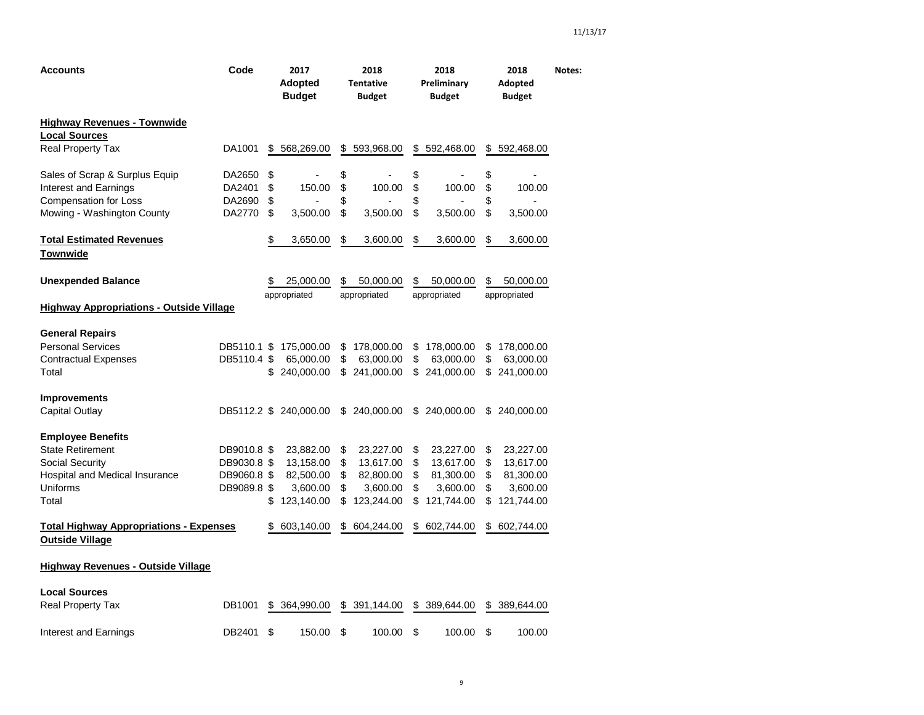| <b>Accounts</b>                                                                                                                      | Code                                                     |                      | 2017<br><b>Adopted</b><br><b>Budget</b>                       |                            | 2018<br><b>Tentative</b><br><b>Budget</b>                     |                            | 2018<br>Preliminary<br><b>Budget</b>                          |                            | 2018<br>Adopted<br><b>Budget</b>                              | Notes: |
|--------------------------------------------------------------------------------------------------------------------------------------|----------------------------------------------------------|----------------------|---------------------------------------------------------------|----------------------------|---------------------------------------------------------------|----------------------------|---------------------------------------------------------------|----------------------------|---------------------------------------------------------------|--------|
| <b>Highway Revenues - Townwide</b><br><b>Local Sources</b><br>Real Property Tax                                                      | DA1001                                                   | \$                   | 568,269.00                                                    | \$                         | 593,968.00                                                    | \$                         | 592,468.00                                                    | \$                         | 592,468.00                                                    |        |
| Sales of Scrap & Surplus Equip<br>Interest and Earnings<br><b>Compensation for Loss</b><br>Mowing - Washington County                | DA2650<br>DA2401<br>DA2690<br>DA2770                     | \$<br>\$<br>\$<br>\$ | 150.00<br>3,500.00                                            | \$<br>\$<br>\$<br>\$       | 100.00<br>3,500.00                                            | \$<br>\$<br>\$<br>\$       | 100.00<br>3,500.00                                            | \$<br>\$<br>\$<br>\$       | 100.00<br>3,500.00                                            |        |
| <b>Total Estimated Revenues</b><br><b>Townwide</b>                                                                                   |                                                          | \$                   | 3,650.00                                                      | \$                         | 3,600.00                                                      | \$                         | 3,600.00                                                      | \$                         | 3,600.00                                                      |        |
| <b>Unexpended Balance</b><br><b>Highway Appropriations - Outside Village</b>                                                         |                                                          | \$                   | 25,000.00<br>appropriated                                     | \$                         | 50,000.00<br>appropriated                                     | \$                         | 50,000.00<br>appropriated                                     | \$                         | 50,000.00<br>appropriated                                     |        |
|                                                                                                                                      |                                                          |                      |                                                               |                            |                                                               |                            |                                                               |                            |                                                               |        |
| <b>General Repairs</b><br><b>Personal Services</b><br><b>Contractual Expenses</b><br>Total                                           | DB5110.1 \$<br>DB5110.4 \$                               | \$                   | 175,000.00<br>65,000.00<br>240,000.00                         | \$<br>\$                   | 178,000.00<br>63,000.00<br>\$241,000.00                       | \$<br>\$                   | 178,000.00<br>63,000.00<br>\$241,000.00                       | \$<br>\$                   | 178,000.00<br>63,000.00<br>\$241,000.00                       |        |
| <b>Improvements</b><br>Capital Outlay                                                                                                |                                                          |                      | DB5112.2 \$ 240,000.00                                        |                            | \$ 240,000.00                                                 |                            | \$ 240,000.00                                                 |                            | \$ 240,000.00                                                 |        |
| <b>Employee Benefits</b><br><b>State Retirement</b><br><b>Social Security</b><br>Hospital and Medical Insurance<br>Uniforms<br>Total | DB9010.8 \$<br>DB9030.8 \$<br>DB9060.8 \$<br>DB9089.8 \$ | \$                   | 23,882.00<br>13,158.00<br>82,500.00<br>3,600.00<br>123,140.00 | \$<br>\$<br>\$<br>\$<br>\$ | 23,227.00<br>13,617.00<br>82,800.00<br>3,600.00<br>123,244.00 | \$<br>\$<br>\$<br>\$<br>\$ | 23,227.00<br>13,617.00<br>81,300.00<br>3,600.00<br>121,744.00 | \$<br>\$<br>\$<br>\$<br>\$ | 23,227.00<br>13,617.00<br>81,300.00<br>3,600.00<br>121,744.00 |        |
| <b>Total Highway Appropriations - Expenses</b><br><b>Outside Village</b>                                                             |                                                          | \$                   | 603,140.00                                                    | \$                         | 604,244.00                                                    | \$                         | 602,744.00                                                    | \$                         | 602,744.00                                                    |        |
| <b>Highway Revenues - Outside Village</b>                                                                                            |                                                          |                      |                                                               |                            |                                                               |                            |                                                               |                            |                                                               |        |
| <b>Local Sources</b><br><b>Real Property Tax</b>                                                                                     | DB1001                                                   | \$                   | 364,990.00                                                    | \$                         | 391,144.00                                                    | \$                         | 389,644.00                                                    | \$                         | 389,644.00                                                    |        |
| Interest and Earnings                                                                                                                | DB2401                                                   | \$                   | 150.00                                                        | \$                         | 100.00                                                        | \$                         | 100.00                                                        | \$                         | 100.00                                                        |        |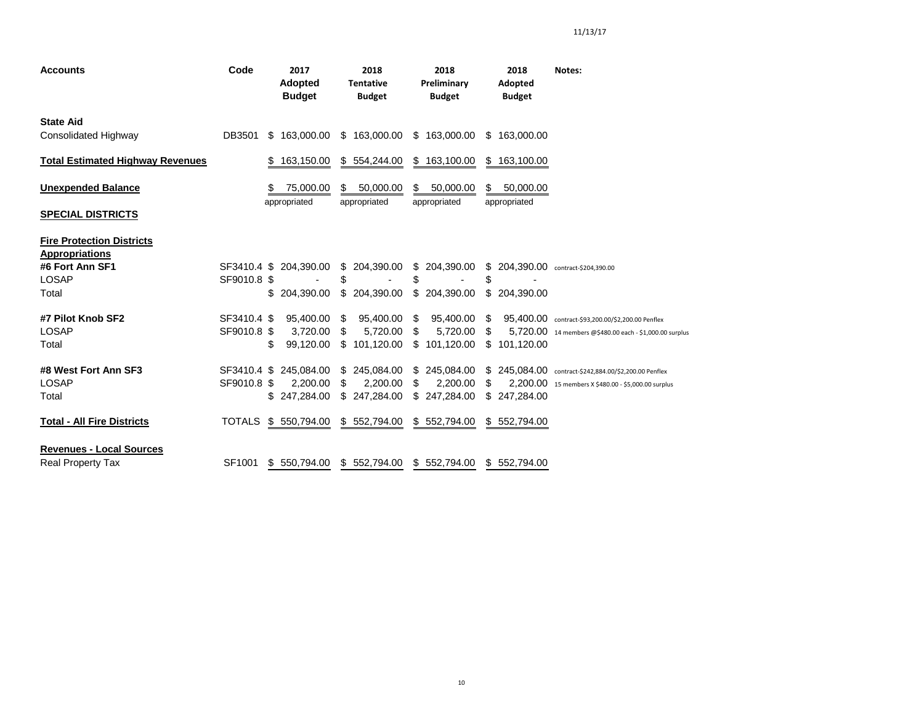| <b>Accounts</b>                                           | Code          | 2017<br><b>Adopted</b><br><b>Budget</b> | 2018<br><b>Tentative</b><br><b>Budget</b> | 2018<br>Preliminary<br><b>Budget</b> | 2018<br>Adopted<br><b>Budget</b>    | Notes:                                                  |
|-----------------------------------------------------------|---------------|-----------------------------------------|-------------------------------------------|--------------------------------------|-------------------------------------|---------------------------------------------------------|
| <b>State Aid</b><br><b>Consolidated Highway</b>           | DB3501        | \$163,000,00                            | \$163,000.00                              | \$163,000.00                         | \$<br>163,000.00                    |                                                         |
| <b>Total Estimated Highway Revenues</b>                   |               | 163,150.00                              | \$ 554,244.00                             | \$163,100.00                         | \$<br>163,100.00                    |                                                         |
| <b>Unexpended Balance</b>                                 |               | 75,000.00                               | 50,000.00<br>S.                           | 50,000.00<br>S                       | 50,000.00<br>\$                     |                                                         |
| <b>SPECIAL DISTRICTS</b>                                  |               | appropriated                            | appropriated                              | appropriated                         | appropriated                        |                                                         |
| <b>Fire Protection Districts</b><br><b>Appropriations</b> |               |                                         |                                           |                                      |                                     |                                                         |
| #6 Fort Ann SF1                                           |               | SF3410.4 \$ 204,390.00                  | \$ 204,390.00                             | \$ 204,390.00                        | \$ 204,390.00 contract-\$204,390.00 |                                                         |
| <b>LOSAP</b>                                              | SF9010.8 \$   |                                         | \$                                        | \$                                   | \$                                  |                                                         |
| Total                                                     |               | \$<br>204.390.00                        | \$<br>204,390.00                          | \$ 204,390.00                        | \$<br>204,390.00                    |                                                         |
| #7 Pilot Knob SF2                                         | SF3410.4 \$   | 95,400.00                               | 95,400.00<br>S                            | 95,400.00<br>S                       | \$                                  | 95,400.00 contract-\$93,200.00/\$2,200.00 Penflex       |
| <b>LOSAP</b>                                              | SF9010.8 \$   | 3,720.00                                | 5.720.00<br>\$                            | 5,720.00<br>S                        | \$.                                 | 5,720.00 14 members @\$480.00 each - \$1,000.00 surplus |
| Total                                                     |               | 99,120.00<br>\$                         | \$101,120.00                              | \$101,120.00                         | \$<br>101,120.00                    |                                                         |
| #8 West Fort Ann SF3                                      | SF3410.4 \$   | 245.084.00                              | \$ 245,084.00                             | \$<br>245,084.00                     |                                     | \$245,084.00 contract-\$242,884.00/\$2,200.00 Penflex   |
| <b>LOSAP</b>                                              | SF9010.8 \$   | 2,200.00                                | 2,200.00<br>\$                            | 2,200.00<br>S                        | S                                   | 2,200.00 15 members X \$480.00 - \$5,000.00 surplus     |
| Total                                                     |               | 247,284.00                              | \$247,284.00                              | \$.<br>247,284.00                    | 247,284.00<br>\$                    |                                                         |
| <b>Total - All Fire Districts</b>                         | <b>TOTALS</b> | \$550,794.00                            | \$552,794.00                              | \$552,794.00                         | \$552,794.00                        |                                                         |
| <b>Revenues - Local Sources</b>                           |               |                                         |                                           |                                      |                                     |                                                         |
| <b>Real Property Tax</b>                                  | SF1001        | \$550,794.00                            | \$552,794.00                              | \$552,794.00                         | \$552,794.00                        |                                                         |